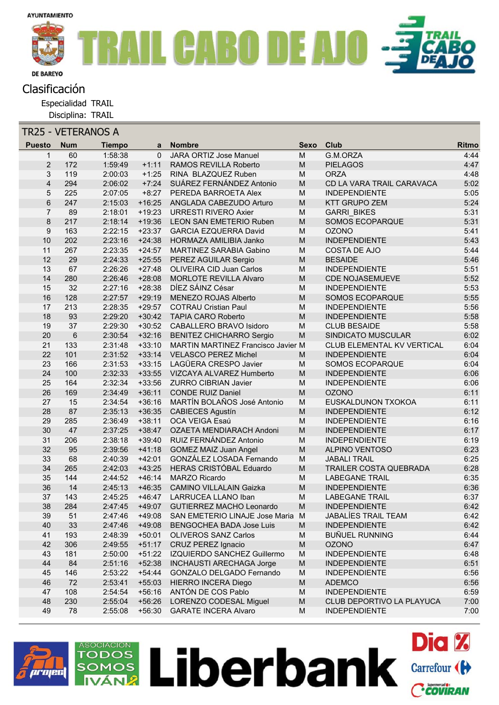

## Clasificación

Especialidad TRAIL

Disciplina: TRAIL

| TR25 - VETERANOS A |                |            |               |          |                                           |                                                                                                            |                               |       |  |  |  |
|--------------------|----------------|------------|---------------|----------|-------------------------------------------|------------------------------------------------------------------------------------------------------------|-------------------------------|-------|--|--|--|
|                    | <b>Puesto</b>  | <b>Num</b> | <b>Tiempo</b> | a        | <b>Nombre</b>                             | <b>Sexo</b>                                                                                                | Club                          | Ritmo |  |  |  |
|                    | $\mathbf{1}$   | 60         | 1:58:38       | $\Omega$ | <b>JARA ORTIZ Jose Manuel</b>             | M                                                                                                          | G.M.ORZA                      | 4:44  |  |  |  |
|                    | $\overline{2}$ | 172        | 1:59:49       | $+1:11$  | RAMOS REVILLA Roberto                     | M                                                                                                          | <b>PIELAGOS</b>               | 4:47  |  |  |  |
|                    | 3              | 119        | 2:00:03       | $+1:25$  | RINA BLAZQUEZ Ruben                       | M                                                                                                          | <b>ORZA</b>                   | 4:48  |  |  |  |
|                    | 4              | 294        | 2:06:02       | $+7:24$  | SUÁREZ FERNÁNDEZ Antonio                  | M                                                                                                          | CD LA VARA TRAIL CARAVACA     | 5:02  |  |  |  |
|                    | 5              | 225        | 2:07:05       | $+8:27$  | PEREDA BARROETA Alex                      | M                                                                                                          | <b>INDEPENDIENTE</b>          | 5:05  |  |  |  |
|                    | 6              | 247        | 2:15:03       | $+16:25$ | ANGLADA CABEZUDO Arturo                   | M                                                                                                          | <b>KTT GRUPO ZEM</b>          | 5:24  |  |  |  |
|                    | $\overline{7}$ | 89         | 2:18:01       | $+19:23$ | <b>URRESTI RIVERO Axier</b>               | M                                                                                                          | <b>GARRI BIKES</b>            | 5:31  |  |  |  |
|                    | 8              | 217        | 2:18:14       | $+19:36$ | <b>LEON SAN EMETERIO Ruben</b>            | M                                                                                                          | <b>SOMOS ECOPARQUE</b>        | 5:31  |  |  |  |
|                    | 9              | 163        | 2:22:15       | $+23:37$ | <b>GARCIA EZQUERRA David</b>              | M                                                                                                          | <b>OZONO</b>                  | 5:41  |  |  |  |
|                    | 10             | 202        | 2:23:16       | $+24:38$ | HORMAZA AMILIBIA Janko                    | M                                                                                                          | <b>INDEPENDIENTE</b>          | 5:43  |  |  |  |
|                    | 11             | 267        | 2:23:35       | $+24:57$ | MARTINEZ SARABIA Gabino                   | M                                                                                                          | COSTA DE AJO                  | 5:44  |  |  |  |
|                    | 12             | 29         | 2:24:33       | $+25:55$ | PEREZ AGUILAR Sergio                      | M                                                                                                          | <b>BESAIDE</b>                | 5:46  |  |  |  |
|                    | 13             | 67         | 2:26:26       | $+27:48$ | <b>OLIVEIRA CID Juan Carlos</b>           | M                                                                                                          | <b>INDEPENDIENTE</b>          | 5:51  |  |  |  |
|                    | 14             | 280        | 2:26:46       | $+28:08$ | <b>MORLOTE REVILLA Alvaro</b>             | M                                                                                                          | <b>CDE NOJASEMUEVE</b>        | 5:52  |  |  |  |
|                    | 15             | 32         | 2:27:16       | $+28:38$ | DÍEZ SÁINZ César                          | M                                                                                                          | <b>INDEPENDIENTE</b>          | 5:53  |  |  |  |
|                    | 16             | 128        | 2:27:57       | $+29:19$ | MENEZO ROJAS Alberto                      | M                                                                                                          | <b>SOMOS ECOPARQUE</b>        | 5:55  |  |  |  |
|                    | 17             | 213        | 2:28:35       | $+29:57$ | <b>COTRAU Cristian Paul</b>               | M                                                                                                          | <b>INDEPENDIENTE</b>          | 5:56  |  |  |  |
|                    | 18             | 93         | 2:29:20       | $+30:42$ | <b>TAPIA CARO Roberto</b>                 | M                                                                                                          | <b>INDEPENDIENTE</b>          | 5:58  |  |  |  |
|                    | 19             | 37         | 2:29:30       | $+30:52$ | CABALLERO BRAVO Isidoro                   | M                                                                                                          | <b>CLUB BESAIDE</b>           | 5:58  |  |  |  |
|                    | 20             | $\,6$      | 2:30:54       | $+32:16$ | <b>BENITEZ CHICHARRO Sergio</b>           | $\mathsf{M}% _{T}=\mathsf{M}_{T}\!\left( a,b\right) ,\ \mathsf{M}_{T}=\mathsf{M}_{T}\!\left( a,b\right) ,$ | SINDICATO MUSCULAR            | 6:02  |  |  |  |
|                    | 21             | 133        | 2:31:48       | $+33:10$ | <b>MARTIN MARTINEZ Francisco Javier M</b> |                                                                                                            | CLUB ELEMENTAL KV VERTICAL    | 6:04  |  |  |  |
|                    | 22             | 101        | 2:31:52       | $+33:14$ | <b>VELASCO PEREZ Michel</b>               | M                                                                                                          | <b>INDEPENDIENTE</b>          | 6:04  |  |  |  |
|                    | 23             | 166        | 2:31:53       | $+33:15$ | LAGÜERA CRESPO Javier                     | M                                                                                                          | SOMOS ECOPARQUE               | 6:04  |  |  |  |
|                    | 24             | 100        | 2:32:33       | $+33:55$ | VIZCAYA ALVAREZ Humberto                  | M                                                                                                          | <b>INDEPENDIENTE</b>          | 6:06  |  |  |  |
|                    | 25             | 164        | 2:32:34       | $+33:56$ | <b>ZURRO CIBRIAN Javier</b>               | M                                                                                                          | <b>INDEPENDIENTE</b>          | 6:06  |  |  |  |
|                    | 26             | 169        | 2:34:49       | $+36:11$ | <b>CONDE RUIZ Daniel</b>                  | M                                                                                                          | <b>OZONO</b>                  | 6:11  |  |  |  |
|                    | 27             | 15         | 2:34:54       | $+36:16$ | MARTÍN BOLAÑOS José Antonio               | M                                                                                                          | EUSKALDUNON TXOKOA            | 6:11  |  |  |  |
|                    | 28             | 87         | 2:35:13       | $+36:35$ | <b>CABIECES Agustín</b>                   | $\mathsf{M}% _{T}=\mathsf{M}_{T}\!\left( a,b\right) ,\ \mathsf{M}_{T}=\mathsf{M}_{T}\!\left( a,b\right) ,$ | <b>INDEPENDIENTE</b>          | 6:12  |  |  |  |
|                    | 29             | 285        | 2:36:49       | $+38:11$ | OCA VEIGA Esaú                            | M                                                                                                          | <b>INDEPENDIENTE</b>          | 6:16  |  |  |  |
|                    | 30             | 47         | 2:37:25       | $+38:47$ | OZAETA MENDIARACH Andoni                  | M                                                                                                          | <b>INDEPENDIENTE</b>          | 6:17  |  |  |  |
|                    | 31             | 206        | 2:38:18       | $+39:40$ | RUIZ FERNÁNDEZ Antonio                    | M                                                                                                          | <b>INDEPENDIENTE</b>          | 6:19  |  |  |  |
|                    | 32             | 95         | 2:39:56       | $+41:18$ | <b>GOMEZ MAIZ Juan Angel</b>              | $\mathsf{M}% _{T}=\mathsf{M}_{T}\!\left( a,b\right) ,\ \mathsf{M}_{T}=\mathsf{M}_{T}\!\left( a,b\right) ,$ | <b>ALPINO VENTOSO</b>         | 6:23  |  |  |  |
|                    | 33             | 68         | 2:40:39       | $+42:01$ | GONZÁLEZ LOSADA Fernando                  | M                                                                                                          | <b>JABALI TRAIL</b>           | 6:25  |  |  |  |
|                    | 34             | 265        | 2:42:03       | $+43:25$ | <b>HERAS CRISTÓBAL Eduardo</b>            | M                                                                                                          | <b>TRAILER COSTA QUEBRADA</b> | 6:28  |  |  |  |
|                    | 35             | 144        | 2:44:52       | $+46:14$ | <b>MARZO Ricardo</b>                      | M                                                                                                          | <b>LABEGANE TRAIL</b>         | 6:35  |  |  |  |
|                    | 36             | 14         | 2:45:13       | $+46:35$ | <b>CAMINO VILLALAIN Gaizka</b>            | $\mathsf{M}% _{T}=\mathsf{M}_{T}\!\left( a,b\right) ,\ \mathsf{M}_{T}=\mathsf{M}_{T}\!\left( a,b\right) ,$ | <b>INDEPENDIENTE</b>          | 6:36  |  |  |  |
|                    | 37             | 143        | 2:45:25       | $+46:47$ | LARRUCEA LLANO Iban                       | M                                                                                                          | <b>LABEGANE TRAIL</b>         | 6:37  |  |  |  |
|                    | 38             | 284        | 2:47:45       | $+49:07$ | GUTIERREZ MACHO Leonardo                  | M                                                                                                          | <b>INDEPENDIENTE</b>          | 6:42  |  |  |  |
|                    | 39             | 51         | 2:47:46       | $+49:08$ | SAN EMETERIO LINAJE Jose Maria M          |                                                                                                            | JABALÍES TRAIL TEAM           | 6:42  |  |  |  |
|                    | 40             | 33         | 2:47:46       | $+49:08$ | <b>BENGOCHEA BADA Jose Luis</b>           | $\mathsf{M}% _{T}=\mathsf{M}_{T}\!\left( a,b\right) ,\ \mathsf{M}_{T}=\mathsf{M}_{T}\!\left( a,b\right) ,$ | <b>INDEPENDIENTE</b>          | 6:42  |  |  |  |
|                    | 41             | 193        | 2:48:39       | $+50:01$ | <b>OLIVEROS SANZ Carlos</b>               | M                                                                                                          | <b>BUÑUEL RUNNING</b>         | 6:44  |  |  |  |
|                    | 42             | 306        | 2:49:55       | $+51:17$ | <b>CRUZ PEREZ Ignacio</b>                 | M                                                                                                          | <b>OZONO</b>                  | 6:47  |  |  |  |
|                    | 43             | 181        | 2:50:00       | $+51:22$ | IZQUIERDO SANCHEZ Guillermo               | M                                                                                                          | <b>INDEPENDIENTE</b>          | 6:48  |  |  |  |
|                    | 44             | 84         | 2:51:16       | $+52:38$ | <b>INCHAUSTI ARECHAGA Jorge</b>           | M                                                                                                          | <b>INDEPENDIENTE</b>          | 6:51  |  |  |  |
|                    | 45             | 146        | 2:53:22       | $+54:44$ | GONZALO DELGADO Fernando                  | M                                                                                                          | <b>INDEPENDIENTE</b>          | 6:56  |  |  |  |
|                    | 46             | 72         | 2:53:41       | $+55:03$ | HIERRO INCERA Diego                       | ${\sf M}$                                                                                                  | <b>ADEMCO</b>                 | 6:56  |  |  |  |
|                    | 47             | 108        | 2:54:54       |          | +56:16 ANTÓN DE COS Pablo                 | M                                                                                                          | <b>INDEPENDIENTE</b>          | 6:59  |  |  |  |
|                    | 48             | 230        | 2:55:04       | $+56:26$ | LORENZO CODESAL Miguel                    | M                                                                                                          | CLUB DEPORTIVO LA PLAYUCA     | 7:00  |  |  |  |
|                    | 49             | 78         | 2:55:08       | $+56:30$ | <b>GARATE INCERA Alvaro</b>               | M                                                                                                          | <b>INDEPENDIENTE</b>          | 7:00  |  |  |  |
|                    |                |            |               |          |                                           |                                                                                                            |                               |       |  |  |  |

Liberbank Carrefour (H

**Dia %** 

Ccoviran



ASOCIACIÓN

**TODOS MOS**